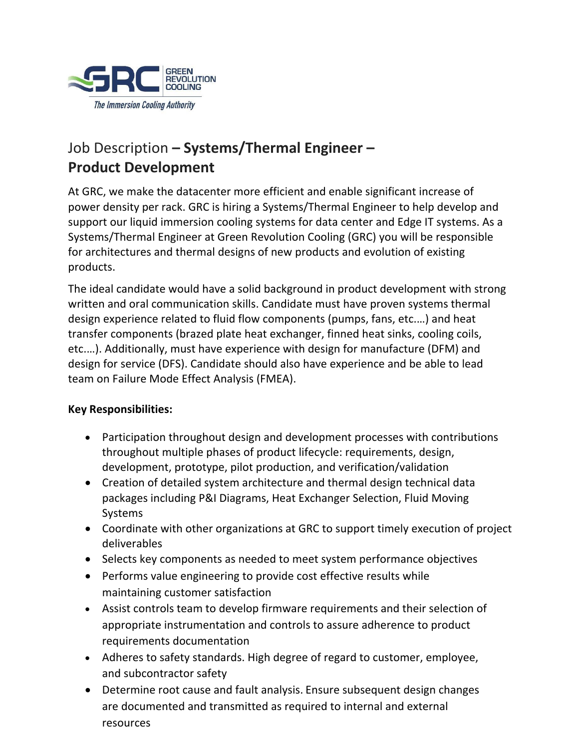

## Job Description **– Systems/Thermal Engineer – Product Development**

At GRC, we make the datacenter more efficient and enable significant increase of power density per rack. GRC is hiring a Systems/Thermal Engineer to help develop and support our liquid immersion cooling systems for data center and Edge IT systems. As a Systems/Thermal Engineer at Green Revolution Cooling (GRC) you will be responsible for architectures and thermal designs of new products and evolution of existing products.

The ideal candidate would have a solid background in product development with strong written and oral communication skills. Candidate must have proven systems thermal design experience related to fluid flow components (pumps, fans, etc.…) and heat transfer components (brazed plate heat exchanger, finned heat sinks, cooling coils, etc.…). Additionally, must have experience with design for manufacture (DFM) and design for service (DFS). Candidate should also have experience and be able to lead team on Failure Mode Effect Analysis (FMEA).

## **Key Responsibilities:**

- Participation throughout design and development processes with contributions throughout multiple phases of product lifecycle: requirements, design, development, prototype, pilot production, and verification/validation
- Creation of detailed system architecture and thermal design technical data packages including P&I Diagrams, Heat Exchanger Selection, Fluid Moving Systems
- Coordinate with other organizations at GRC to support timely execution of project deliverables
- Selects key components as needed to meet system performance objectives
- Performs value engineering to provide cost effective results while maintaining customer satisfaction
- Assist controls team to develop firmware requirements and their selection of appropriate instrumentation and controls to assure adherence to product requirements documentation
- Adheres to safety standards. High degree of regard to customer, employee, and subcontractor safety
- Determine root cause and fault analysis. Ensure subsequent design changes are documented and transmitted as required to internal and external resources